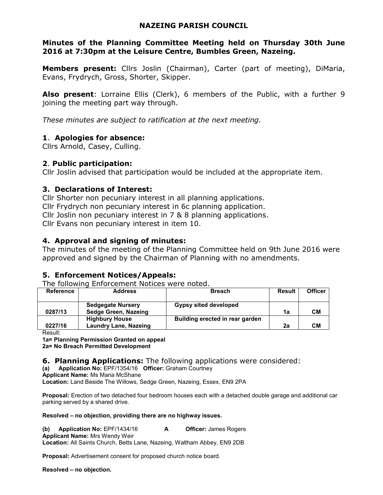## **NAZEING PARISH COUNCIL**

## **Minutes of the Planning Committee Meeting held on Thursday 30th June 2016 at 7:30pm at the Leisure Centre, Bumbles Green, Nazeing.**

**Members present:** Cllrs Joslin (Chairman), Carter (part of meeting), DiMaria, Evans, Frydrych, Gross, Shorter, Skipper.

**Also present**: Lorraine Ellis (Clerk), 6 members of the Public, with a further 9 joining the meeting part way through.

*These minutes are subject to ratification at the next meeting.*

## **1**. **Apologies for absence:**

Cllrs Arnold, Casey, Culling.

## **2**. **Public participation:**

Cllr Joslin advised that participation would be included at the appropriate item.

## **3. Declarations of Interest:**

Cllr Shorter non pecuniary interest in all planning applications. Cllr Frydrych non pecuniary interest in 6c planning application. Cllr Joslin non pecuniary interest in 7 & 8 planning applications. Cllr Evans non pecuniary interest in item 10.

## **4. Approval and signing of minutes:**

The minutes of the meeting of the Planning Committee held on 9th June 2016 were approved and signed by the Chairman of Planning with no amendments.

# **5. Enforcement Notices/Appeals:**

The following Enforcement Notices were noted.

| Reference | <b>Address</b>               | <b>Breach</b>                   | <b>Result</b> | <b>Officer</b> |
|-----------|------------------------------|---------------------------------|---------------|----------------|
|           |                              |                                 |               |                |
|           | <b>Sedgegate Nursery</b>     | <b>Gypsy sited developed</b>    |               |                |
| 0287/13   | Sedge Green, Nazeing         |                                 | 1a            | CМ             |
|           | <b>Highbury House</b>        | Building erected in rear garden |               |                |
| 0227/16   | <b>Laundry Lane, Nazeing</b> |                                 | 2a            | CМ             |

Result:

**1a= Planning Permission Granted on appeal** 

**2a= No Breach Permitted Development** 

**6. Planning Applications:** The following applications were considered:

**(a) Application No:** EPF/1354/16 **Officer:** Graham Courtney

**Applicant Name:** Ms Maria McShane

**Location:** Land Beside The Willows, Sedge Green, Nazeing, Essex, EN9 2PA

**Proposal:** Erection of two detached four bedroom houses each with a detached double garage and additional car parking served by a shared drive.

#### **Resolved – no objection, providing there are no highway issues.**

**(b) Application No:** EPF/1434/16 **A Officer:** James Rogers **Applicant Name:** Mrs Wendy Weir **Location:** All Saints Church, Betts Lane, Nazeing, Waltham Abbey, EN9 2DB

**Proposal:** Advertisement consent for proposed church notice board.

**Resolved – no objection.**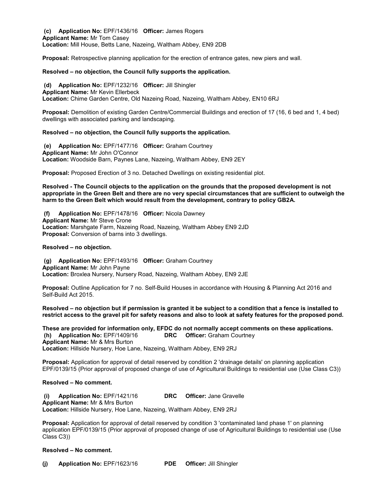**(c) Application No:** EPF/1436/16 **Officer:** James Rogers **Applicant Name:** Mr Tom Casey **Location:** Mill House, Betts Lane, Nazeing, Waltham Abbey, EN9 2DB

**Proposal:** Retrospective planning application for the erection of entrance gates, new piers and wall.

#### **Resolved – no objection, the Council fully supports the application.**

 **(d) Application No:** EPF/1232/16 **Officer:** Jill Shingler **Applicant Name:** Mr Kevin Ellerbeck **Location:** Chime Garden Centre, Old Nazeing Road, Nazeing, Waltham Abbey, EN10 6RJ

**Proposal:** Demolition of existing Garden Centre/Commercial Buildings and erection of 17 (16, 6 bed and 1, 4 bed) dwellings with associated parking and landscaping.

#### **Resolved – no objection, the Council fully supports the application.**

 **(e) Application No:** EPF/1477/16 **Officer:** Graham Courtney **Applicant Name:** Mr John O'Connor **Location:** Woodside Barn, Paynes Lane, Nazeing, Waltham Abbey, EN9 2EY

**Proposal:** Proposed Erection of 3 no. Detached Dwellings on existing residential plot.

**Resolved - The Council objects to the application on the grounds that the proposed development is not appropriate in the Green Belt and there are no very special circumstances that are sufficient to outweigh the harm to the Green Belt which would result from the development, contrary to policy GB2A.**

 **(f) Application No:** EPF/1478/16 **Officer:** Nicola Dawney **Applicant Name:** Mr Steve Crone **Location:** Marshgate Farm, Nazeing Road, Nazeing, Waltham Abbey EN9 2JD **Proposal:** Conversion of barns into 3 dwellings.

#### **Resolved – no objection.**

 **(g) Application No:** EPF/1493/16 **Officer:** Graham Courtney **Applicant Name:** Mr John Payne **Location:** Broxlea Nursery, Nursery Road, Nazeing, Waltham Abbey, EN9 2JE

**Proposal:** Outline Application for 7 no. Self-Build Houses in accordance with Housing & Planning Act 2016 and Self-Build Act 2015.

**Resolved – no objection but if permission is granted it be subject to a condition that a fence is installed to restrict access to the gravel pit for safety reasons and also to look at safety features for the proposed pond.** 

**These are provided for information only, EFDC do not normally accept comments on these applications. (h) Application No:** EPF/1409/16 **DRC Officer:** Graham Courtney **Applicant Name:** Mr & Mrs Burton **Location:** Hillside Nursery, Hoe Lane, Nazeing, Waltham Abbey, EN9 2RJ

**Proposal:** Application for approval of detail reserved by condition 2 'drainage details' on planning application EPF/0139/15 (Prior approval of proposed change of use of Agricultural Buildings to residential use (Use Class C3))

#### **Resolved – No comment.**

 **(i) Application No:** EPF/1421/16 **DRC Officer:** Jane Gravelle **Applicant Name:** Mr & Mrs Burton **Location:** Hillside Nursery, Hoe Lane, Nazeing, Waltham Abbey, EN9 2RJ

**Proposal:** Application for approval of detail reserved by condition 3 'contaminated land phase 1' on planning application EPF/0139/15 (Prior approval of proposed change of use of Agricultural Buildings to residential use (Use Class C3))

#### **Resolved – No comment.**